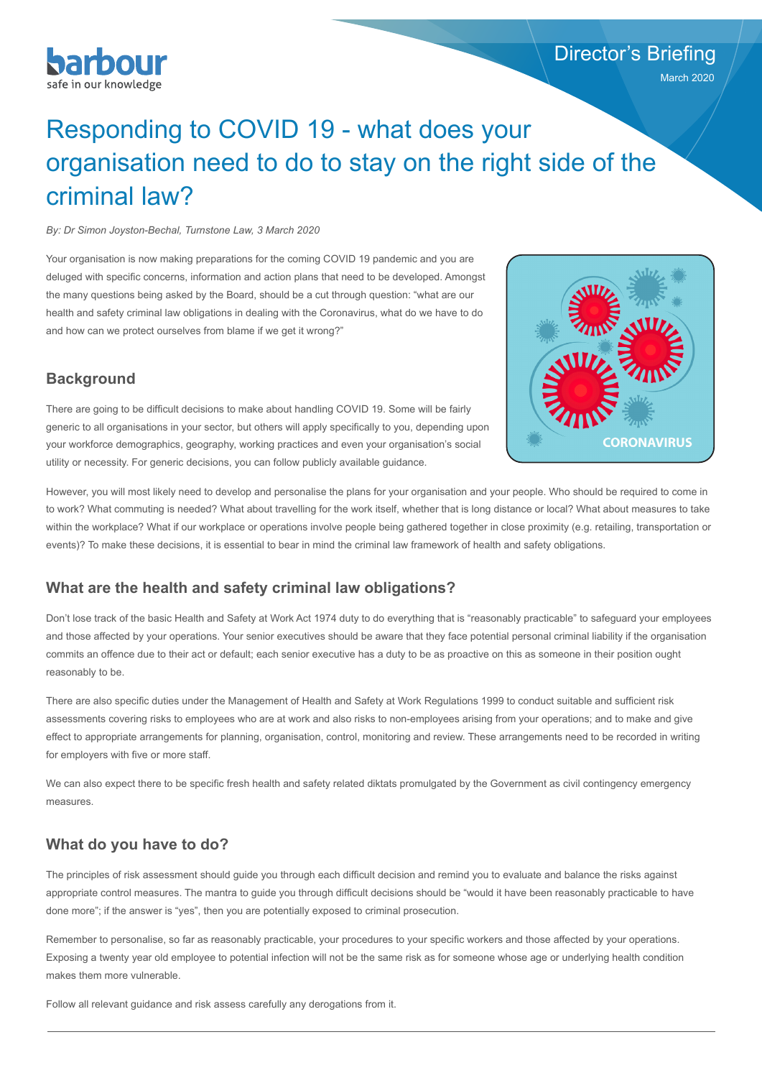

### Director's Briefing

March 2020

# Responding to COVID 19 - what does your organisation need to do to stay on the right side of the criminal law?

*By: Dr Simon Joyston-Bechal, Turnstone Law, 3 March 2020*

Your organisation is now making preparations for the coming COVID 19 pandemic and you are deluged with specific concerns, information and action plans that need to be developed. Amongst the many questions being asked by the Board, should be a cut through question: "what are our health and safety criminal law obligations in dealing with the Coronavirus, what do we have to do and how can we protect ourselves from blame if we get it wrong?"



#### **Background**

There are going to be difficult decisions to make about handling COVID 19. Some will be fairly generic to all organisations in your sector, but others will apply specifically to you, depending upon your workforce demographics, geography, working practices and even your organisation's social utility or necessity. For generic decisions, you can follow publicly available guidance.

However, you will most likely need to develop and personalise the plans for your organisation and your people. Who should be required to come in to work? What commuting is needed? What about travelling for the work itself, whether that is long distance or local? What about measures to take within the workplace? What if our workplace or operations involve people being gathered together in close proximity (e.g. retailing, transportation or events)? To make these decisions, it is essential to bear in mind the criminal law framework of health and safety obligations.

### **What are the health and safety criminal law obligations?**

Don't lose track of the basic Health and Safety at Work Act 1974 duty to do everything that is "reasonably practicable" to safeguard your employees and those affected by your operations. Your senior executives should be aware that they face potential personal criminal liability if the organisation commits an offence due to their act or default; each senior executive has a duty to be as proactive on this as someone in their position ought reasonably to be.

There are also specific duties under the Management of Health and Safety at Work Regulations 1999 to conduct suitable and sufficient risk assessments covering risks to employees who are at work and also risks to non-employees arising from your operations; and to make and give effect to appropriate arrangements for planning, organisation, control, monitoring and review. These arrangements need to be recorded in writing for employers with five or more staff.

We can also expect there to be specific fresh health and safety related diktats promulgated by the Government as civil contingency emergency measures.

#### **What do you have to do?**

The principles of risk assessment should guide you through each difficult decision and remind you to evaluate and balance the risks against appropriate control measures. The mantra to guide you through difficult decisions should be "would it have been reasonably practicable to have done more"; if the answer is "yes", then you are potentially exposed to criminal prosecution.

Remember to personalise, so far as reasonably practicable, your procedures to your specific workers and those affected by your operations. Exposing a twenty year old employee to potential infection will not be the same risk as for someone whose age or underlying health condition makes them more vulnerable.

Follow all relevant guidance and risk assess carefully any derogations from it.